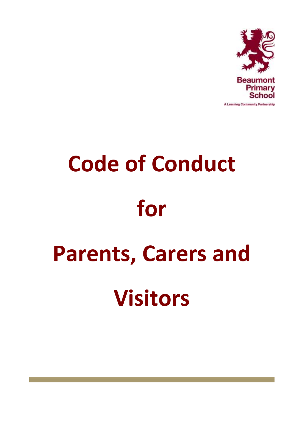

# **Code of Conduct for Parents, Carers and Visitors**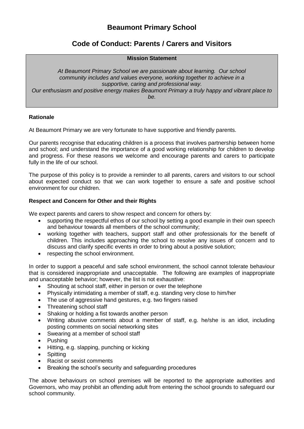# **Beaumont Primary School**

# **Code of Conduct: Parents / Carers and Visitors**

### **Mission Statement**

*At Beaumont Primary School we are passionate about learning. Our school community includes and values everyone, working together to achieve in a supportive, caring and professional way. Our enthusiasm and positive energy makes Beaumont Primary a truly happy and vibrant place to be.*

### **Rationale**

At Beaumont Primary we are very fortunate to have supportive and friendly parents.

Our parents recognise that educating children is a process that involves partnership between home and school; and understand the importance of a good working relationship for children to develop and progress. For these reasons we welcome and encourage parents and carers to participate fully in the life of our school.

The purpose of this policy is to provide a reminder to all parents, carers and visitors to our school about expected conduct so that we can work together to ensure a safe and positive school environment for our children.

### **Respect and Concern for Other and their Rights**

We expect parents and carers to show respect and concern for others by:

- supporting the respectful ethos of our school by setting a good example in their own speech and behaviour towards all members of the school community;
- working together with teachers, support staff and other professionals for the benefit of children. This includes approaching the school to resolve any issues of concern and to discuss and clarify specific events in order to bring about a positive solution;
- respecting the school environment.

In order to support a peaceful and safe school environment, the school cannot tolerate behaviour that is considered inappropriate and unacceptable. The following are examples of inappropriate and unacceptable behavior; however, the list is not exhaustive:

- Shouting at school staff, either in person or over the telephone
- Physically intimidating a member of staff, e.g. standing very close to him/her
- The use of aggressive hand gestures, e.g. two fingers raised
- Threatening school staff
- Shaking or holding a fist towards another person
- Writing abusive comments about a member of staff, e.g. he/she is an idiot, including posting comments on social networking sites
- Swearing at a member of school staff
- Pushing
- Hitting, e.g. slapping, punching or kicking
- Spitting
- Racist or sexist comments
- Breaking the school's security and safeguarding procedures

The above behaviours on school premises will be reported to the appropriate authorities and Governors, who may prohibit an offending adult from entering the school grounds to safeguard our school community.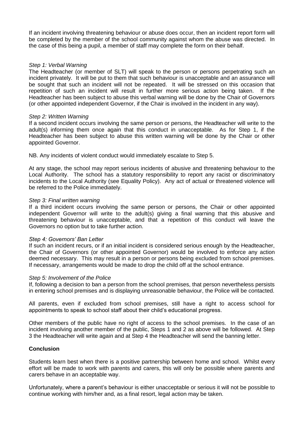If an incident involving threatening behaviour or abuse does occur, then an incident report form will be completed by the member of the school community against whom the abuse was directed. In the case of this being a pupil, a member of staff may complete the form on their behalf.

### *Step 1: Verbal Warning*

The Headteacher (or member of SLT) will speak to the person or persons perpetrating such an incident privately. It will be put to them that such behaviour is unacceptable and an assurance will be sought that such an incident will not be repeated. It will be stressed on this occasion that repetition of such an incident will result in further more serious action being taken. If the Headteacher has been subject to abuse this verbal warning will be done by the Chair of Governors (or other appointed independent Governor, if the Chair is involved in the incident in any way).

### *Step 2: Written Warning*

If a second incident occurs involving the same person or persons, the Headteacher will write to the adult(s) informing them once again that this conduct in unacceptable. As for Step 1, if the Headteacher has been subject to abuse this written warning will be done by the Chair or other appointed Governor.

NB. Any incidents of violent conduct would immediately escalate to Step 5.

At any stage, the school may report serious incidents of abusive and threatening behaviour to the Local Authority. The school has a statutory responsibility to report any racist or discriminatory incidents to the Local Authority (see Equality Policy). Any act of actual or threatened violence will be referred to the Police immediately.

### *Step 3: Final written warning*

If a third incident occurs involving the same person or persons, the Chair or other appointed independent Governor will write to the adult(s) giving a final warning that this abusive and threatening behaviour is unacceptable, and that a repetition of this conduct will leave the Governors no option but to take further action.

### *Step 4: Governors' Ban Letter*

If such an incident recurs, or if an initial incident is considered serious enough by the Headteacher, the Chair of Governors (or other appointed Governor) would be involved to enforce any action deemed necessary. This may result in a person or persons being excluded from school premises. If necessary, arrangements would be made to drop the child off at the school entrance.

### *Step 5: Involvement of the Police*

If, following a decision to ban a person from the school premises, that person nevertheless persists in entering school premises and is displaying unreasonable behaviour, the Police will be contacted.

All parents, even if excluded from school premises, still have a right to access school for appointments to speak to school staff about their child's educational progress.

Other members of the public have no right of access to the school premises. In the case of an incident involving another member of the public, Steps 1 and 2 as above will be followed. At Step 3 the Headteacher will write again and at Step 4 the Headteacher will send the banning letter.

### **Conclusion**

Students learn best when there is a positive partnership between home and school. Whilst every effort will be made to work with parents and carers, this will only be possible where parents and carers behave in an acceptable way.

Unfortunately, where a parent's behaviour is either unacceptable or serious it will not be possible to continue working with him/her and, as a final resort, legal action may be taken.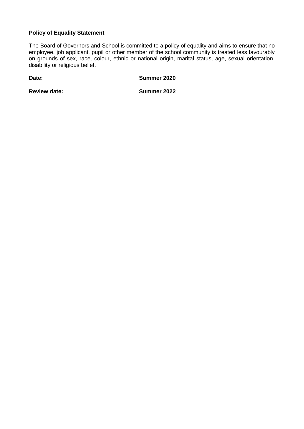## **Policy of Equality Statement**

The Board of Governors and School is committed to a policy of equality and aims to ensure that no employee, job applicant, pupil or other member of the school community is treated less favourably on grounds of sex, race, colour, ethnic or national origin, marital status, age, sexual orientation, disability or religious belief.

**Date: Summer 2020**

**Review date:** Summer 2022